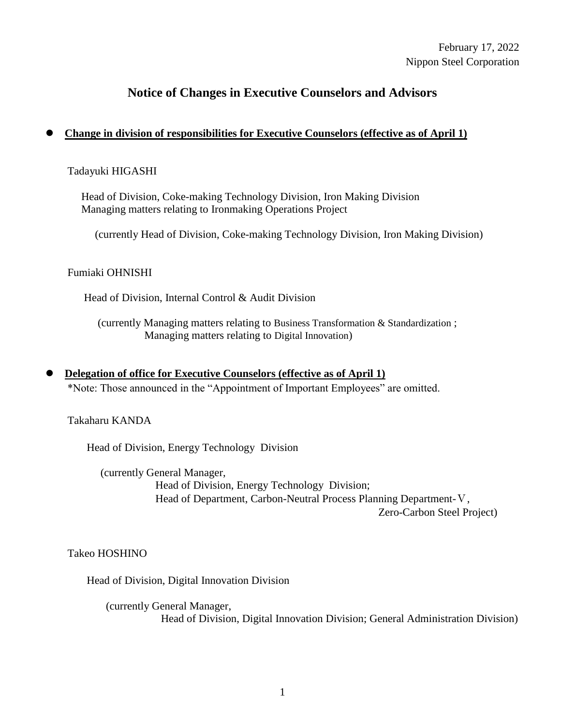# February 17, 2022 Nippon Steel Corporation

# **Notice of Changes in Executive Counselors and Advisors**

# **Change in division of responsibilities for Executive Counselors (effective as of April 1)**

### Tadayuki HIGASHI

 Head of Division, Coke-making Technology Division, Iron Making Division Managing matters relating to Ironmaking Operations Project

(currently Head of Division, Coke-making Technology Division, Iron Making Division)

### Fumiaki OHNISHI

Head of Division, Internal Control & Audit Division

 (currently Managing matters relating to Business Transformation & Standardization ; Managing matters relating to Digital Innovation)

 **Delegation of office for Executive Counselors (effective as of April 1)**  \*Note: Those announced in the "Appointment of Important Employees" are omitted.

Takaharu KANDA

Head of Division, Energy Technology Division

(currently General Manager, Head of Division, Energy Technology Division; Head of Department, Carbon-Neutral Process Planning Department-V, Zero-Carbon Steel Project)

Takeo HOSHINO

Head of Division, Digital Innovation Division

(currently General Manager, Head of Division, Digital Innovation Division; General Administration Division)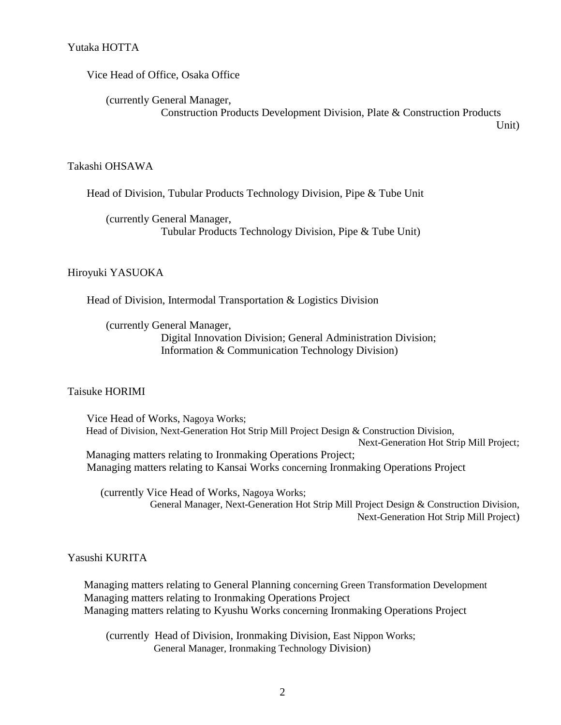Vice Head of Office, Osaka Office

(currently General Manager, Construction Products Development Division, Plate & Construction Products

Unit)

Takashi OHSAWA

Head of Division, Tubular Products Technology Division, Pipe & Tube Unit

(currently General Manager, Tubular Products Technology Division, Pipe & Tube Unit)

### Hiroyuki YASUOKA

Head of Division, Intermodal Transportation & Logistics Division

(currently General Manager,

 Digital Innovation Division; General Administration Division; Information & Communication Technology Division)

Taisuke HORIMI

 Vice Head of Works, Nagoya Works; Head of Division, Next-Generation Hot Strip Mill Project Design & Construction Division, Next-Generation Hot Strip Mill Project; Managing matters relating to Ironmaking Operations Project; Managing matters relating to Kansai Works concerning Ironmaking Operations Project

(currently Vice Head of Works, Nagoya Works; General Manager, Next-Generation Hot Strip Mill Project Design & Construction Division, Next-Generation Hot Strip Mill Project)

Yasushi KURITA

Managing matters relating to General Planning concerning Green Transformation Development Managing matters relating to Ironmaking Operations Project Managing matters relating to Kyushu Works concerning Ironmaking Operations Project

(currently Head of Division, Ironmaking Division, East Nippon Works; General Manager, Ironmaking Technology Division)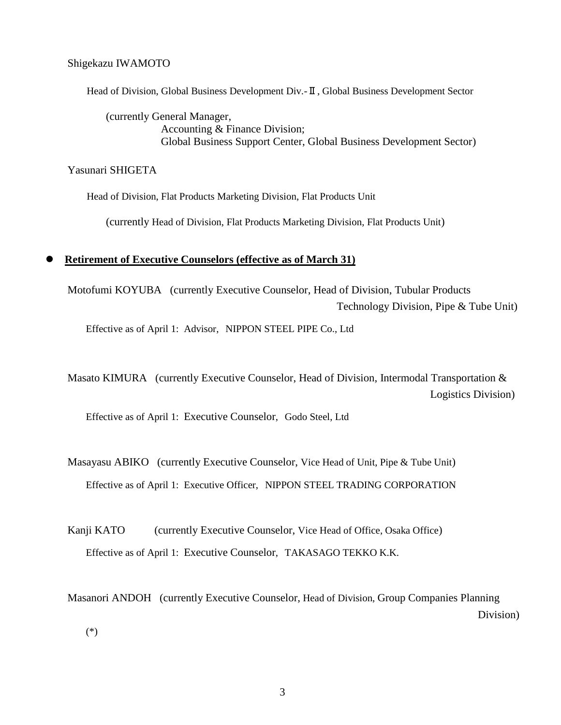Shigekazu IWAMOTO

Head of Division, Global Business Development Div.-Ⅱ, Global Business Development Sector

(currently General Manager, Accounting & Finance Division; Global Business Support Center, Global Business Development Sector)

Yasunari SHIGETA

Head of Division, Flat Products Marketing Division, Flat Products Unit

(currently Head of Division, Flat Products Marketing Division, Flat Products Unit)

#### **Retirement of Executive Counselors (effective as of March 31)**

Motofumi KOYUBA (currently Executive Counselor, Head of Division, Tubular Products Technology Division, Pipe & Tube Unit)

Effective as of April 1: Advisor, NIPPON STEEL PIPE Co., Ltd

Masato KIMURA (currently Executive Counselor, Head of Division, Intermodal Transportation & Logistics Division)

Effective as of April 1: Executive Counselor, Godo Steel, Ltd

Masayasu ABIKO (currently Executive Counselor, Vice Head of Unit, Pipe & Tube Unit) Effective as of April 1: Executive Officer, NIPPON STEEL TRADING CORPORATION

Kanji KATO (currently Executive Counselor, Vice Head of Office, Osaka Office) Effective as of April 1: Executive Counselor, TAKASAGO TEKKO K.K.

Masanori ANDOH (currently Executive Counselor, Head of Division, Group Companies Planning Division) (\*)